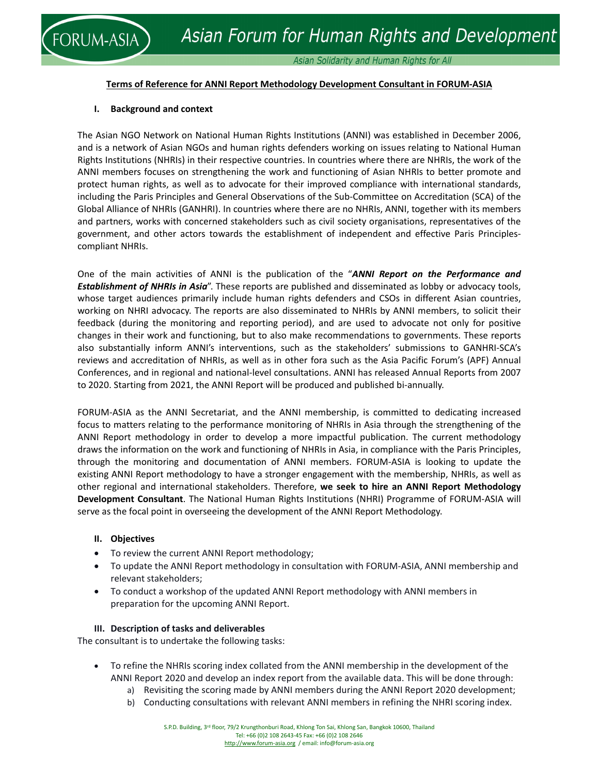### **Terms of Reference for ANNI Report Methodology Development Consultant in FORUM‐ASIA**

#### **I. Background and context**

**DRUM-ASIA** 

The Asian NGO Network on National Human Rights Institutions (ANNI) was established in December 2006, and is a network of Asian NGOs and human rights defenders working on issues relating to National Human Rights Institutions (NHRIs) in their respective countries. In countries where there are NHRIs, the work of the ANNI members focuses on strengthening the work and functioning of Asian NHRIs to better promote and protect human rights, as well as to advocate for their improved compliance with international standards, including the Paris Principles and General Observations of the Sub‐Committee on Accreditation (SCA) of the Global Alliance of NHRIs (GANHRI). In countries where there are no NHRIs, ANNI, together with its members and partners, works with concerned stakeholders such as civil society organisations, representatives of the government, and other actors towards the establishment of independent and effective Paris Principles‐ compliant NHRIs.

One of the main activities of ANNI is the publication of the "*ANNI Report on the Performance and Establishment of NHRIs in Asia*". These reports are published and disseminated as lobby or advocacy tools, whose target audiences primarily include human rights defenders and CSOs in different Asian countries, working on NHRI advocacy. The reports are also disseminated to NHRIs by ANNI members, to solicit their feedback (during the monitoring and reporting period), and are used to advocate not only for positive changes in their work and functioning, but to also make recommendations to governments. These reports also substantially inform ANNI's interventions, such as the stakeholders' submissions to GANHRI‐SCA's reviews and accreditation of NHRIs, as well as in other fora such as the Asia Pacific Forum's (APF) Annual Conferences, and in regional and national‐level consultations. ANNI has released Annual Reports from 2007 to 2020. Starting from 2021, the ANNI Report will be produced and published bi‐annually.

FORUM‐ASIA as the ANNI Secretariat, and the ANNI membership, is committed to dedicating increased focus to matters relating to the performance monitoring of NHRIs in Asia through the strengthening of the ANNI Report methodology in order to develop a more impactful publication. The current methodology draws the information on the work and functioning of NHRIs in Asia, in compliance with the Paris Principles, through the monitoring and documentation of ANNI members. FORUM‐ASIA is looking to update the existing ANNI Report methodology to have a stronger engagement with the membership, NHRIs, as well as other regional and international stakeholders. Therefore, **we seek to hire an ANNI Report Methodology Development Consultant**. The National Human Rights Institutions (NHRI) Programme of FORUM‐ASIA will serve as the focal point in overseeing the development of the ANNI Report Methodology.

#### **II. Objectives**

- To review the current ANNI Report methodology;
- To update the ANNI Report methodology in consultation with FORUM‐ASIA, ANNI membership and relevant stakeholders;
- To conduct a workshop of the updated ANNI Report methodology with ANNI members in preparation for the upcoming ANNI Report.

#### **III. Description of tasks and deliverables**

The consultant is to undertake the following tasks:

- To refine the NHRIs scoring index collated from the ANNI membership in the development of the ANNI Report 2020 and develop an index report from the available data. This will be done through:
	- a) Revisiting the scoring made by ANNI members during the ANNI Report 2020 development;
	- b) Conducting consultations with relevant ANNI members in refining the NHRI scoring index.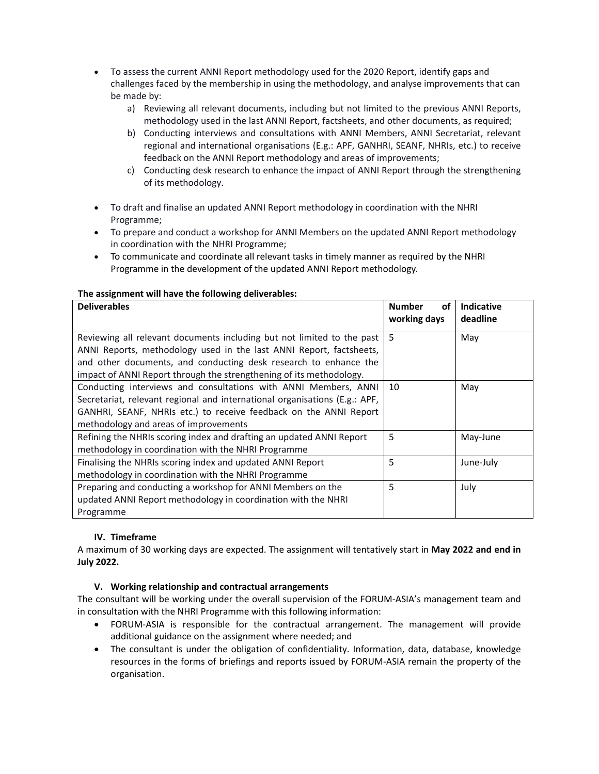- To assess the current ANNI Report methodology used for the 2020 Report, identify gaps and challenges faced by the membership in using the methodology, and analyse improvements that can be made by:
	- a) Reviewing all relevant documents, including but not limited to the previous ANNI Reports, methodology used in the last ANNI Report, factsheets, and other documents, as required;
	- b) Conducting interviews and consultations with ANNI Members, ANNI Secretariat, relevant regional and international organisations (E.g.: APF, GANHRI, SEANF, NHRIs, etc.) to receive feedback on the ANNI Report methodology and areas of improvements;
	- c) Conducting desk research to enhance the impact of ANNI Report through the strengthening of its methodology.
- To draft and finalise an updated ANNI Report methodology in coordination with the NHRI Programme;
- To prepare and conduct a workshop for ANNI Members on the updated ANNI Report methodology in coordination with the NHRI Programme;
- To communicate and coordinate all relevant tasks in timely manner as required by the NHRI Programme in the development of the updated ANNI Report methodology.

# **The assignment will have the following deliverables:**

| <b>Deliverables</b>                                                                                                                                                                                                                                                                      | <b>Number</b><br>οf<br>working days | <b>Indicative</b><br>deadline |
|------------------------------------------------------------------------------------------------------------------------------------------------------------------------------------------------------------------------------------------------------------------------------------------|-------------------------------------|-------------------------------|
| Reviewing all relevant documents including but not limited to the past<br>ANNI Reports, methodology used in the last ANNI Report, factsheets,<br>and other documents, and conducting desk research to enhance the<br>impact of ANNI Report through the strengthening of its methodology. | 5                                   | May                           |
| Conducting interviews and consultations with ANNI Members, ANNI<br>Secretariat, relevant regional and international organisations (E.g.: APF,<br>GANHRI, SEANF, NHRIs etc.) to receive feedback on the ANNI Report<br>methodology and areas of improvements                              | 10                                  | May                           |
| Refining the NHRIs scoring index and drafting an updated ANNI Report<br>methodology in coordination with the NHRI Programme                                                                                                                                                              | 5                                   | May-June                      |
| Finalising the NHRIs scoring index and updated ANNI Report<br>methodology in coordination with the NHRI Programme                                                                                                                                                                        | 5                                   | June-July                     |
| Preparing and conducting a workshop for ANNI Members on the<br>updated ANNI Report methodology in coordination with the NHRI<br>Programme                                                                                                                                                | 5                                   | July                          |

### **IV. Timeframe**

A maximum of 30 working days are expected. The assignment will tentatively start in **May 2022 and end in July 2022.** 

### **V. Working relationship and contractual arrangements**

The consultant will be working under the overall supervision of the FORUM‐ASIA's management team and in consultation with the NHRI Programme with this following information:

- FORUM‐ASIA is responsible for the contractual arrangement. The management will provide additional guidance on the assignment where needed; and
- The consultant is under the obligation of confidentiality. Information, data, database, knowledge resources in the forms of briefings and reports issued by FORUM‐ASIA remain the property of the organisation.